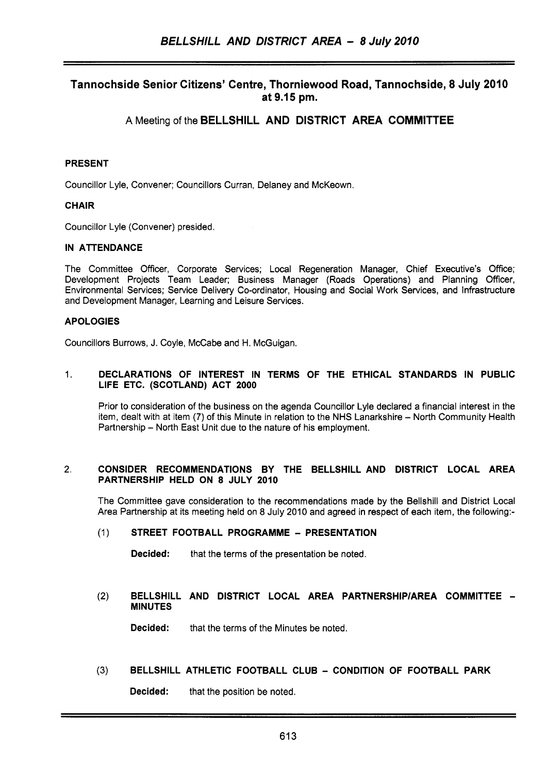# Tannochside Senior Citizens' Centre, Thorniewood Road, Tannochside, 8 July 2010 at 9.15 pm.

# **A** Meeting of the BELLSHILL AND DISTRICT AREA COMMITTEE

## PRESENT

Councillor Lyle, Convener; Councillors Curran, Delaney and McKeown

## **CHAIR**

Councillor Lyle (Convener) presided.

#### IN ATTENDANCE

The Committee Officer, Corporate Services; Local Regeneration Manager, Chief Executive's Office; Development Projects Team Leader: Business Manager (Roads Operations) and Planning Officer, Environmental Services; Service Delivery Co-ordinator, Housing and Social Work Services, and Infrastructure and Development Manager, Learning and Leisure Services.

## APOLOGIES

Councillors Burrows, J. Coyle, McCabe and H. McGuigan.

#### 1. DECLARATIONS OF INTEREST IN TERMS OF THE ETHICAL STANDARDS IN PUBLIC LIFE ETC. (SCOTLAND) ACT 2000

Prior to consideration of the business on the agenda Councillor Lyle declared a financial interest in the item, dealt with at item (7) of this Minute in relation to the NHS Lanarkshire - North Community Health Partnership - North East Unit due to the nature of his employment.

#### 2. CONSIDER RECOMMENDATIONS BY THE BELLSHILL AND DISTRICT LOCAL AREA PARTNERSHIP HELD ON 8 JULY 2010

The Committee gave consideration to the recommendations made by the Bellshill and District Local Area Partnership at its meeting held on 8 July 2010 and agreed in respect of each item, the following:-

## (1) STREET FOOTBALL PROGRAMME - PRESENTATION

**Decided:** that the terms of the presentation be noted.

#### (2) BELLSHILL AND DISTRICT LOCAL AREA PARTNERSHIP/AREA COMMITTEE -MINUTES

Decided: that the terms of the Minutes be noted.

## **(3)** BELLSHILL ATHLETIC FOOTBALL CLUB - CONDITION OF FOOTBALL PARK

Decided: that the position be noted.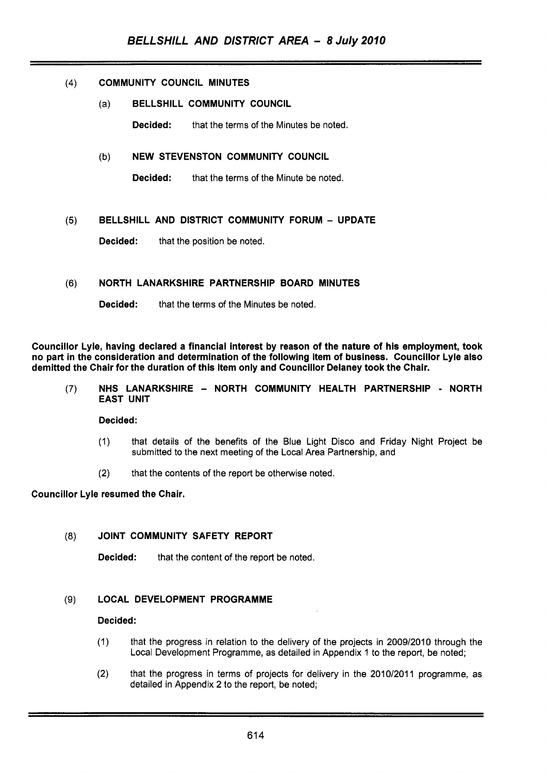# (4) COMMUNITY COUNCIL MINUTES

(a) BELLSHILL COMMUNITY COUNCIL

**Decided:** that the terms of the Minutes be noted.

# (b) NEW STEVENSTON COMMUNITY COUNCIL

**Decided:** that the terms of the Minute be noted.

## **(5)** BELLSHILL AND DISTRICT COMMUNITY FORUM - UPDATE

Decided: that the position be noted.

## **(6)** NORTH LANARKSHIRE PARTNERSHIP BOARD MINUTES

**Decided:** that the terms of the Minutes be noted.

Councillor Lyle, having declared a financial interest by reason of the nature of his employment, took no part in the consideration and determination of the following item of business. Councillor Lyle also demitted the Chair for the duration of this item only and Councillor Delaney took the Chair.

(7) NHS LANARKSHIRE - NORTH COMMUNITY HEALTH PARTNERSHIP - NORTH EAST UNIT

Decided:

- (1) that details of the benefits of the Blue Light Disco and Friday Night Project be submitted to the next meeting of the Local Area Partnership, and
- (2) that the contents of the report be otherwise noted.

## Councillor Lyle resumed the Chair.

## (8) JOINT COMMUNITY SAFETY REPORT

Decided: that the content of the report be noted.

## (9) LOCAL DEVELOPMENT PROGRAMME

#### Decided:

- (1) that the progress in relation to the delivery of the projects in 2009/2010 through the Local Development Programme, as detailed in Appendix 1 to the report, be noted;
- (2) that the progress in terms of projects for delivery in the 2010/2011 programme, as detailed in Appendix 2 to the report, be noted;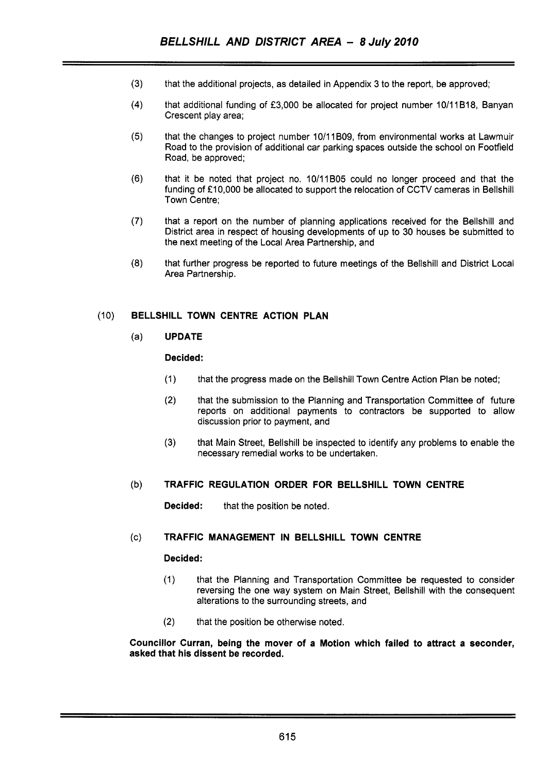- $(3)$ that the additional projects, as detailed in Appendix **3** to the report, be approved;
- $(4)$ that additional funding of **f3,000** be allocated for project number 10/11B18, Banyan Crescent play area;
- $(5)$ that the changes to project number 10/11 BO9, from environmental works at Lawmuir Road to the provision of additional car parking spaces outside the school on Footfield Road, be approved;
- $(6)$ that it be noted that project no. 10/11B05 could no longer proceed and that the funding of £10,000 be allocated to support the relocation of CCTV cameras in Bellshill Town Centre;
- $(7)$ that a report on the number of planning applications received for the Bellshill and District area in respect of housing developments of up to 30 houses be submitted to the next meeting of the Local Area Partnership, and
- $(8)$ that further progress be reported to future meetings of the Bellshill and District Local Area Partnership.

# (10) **BELLSHILL TOWN CENTRE ACTION PLAN**

# (a) **UPDATE**

## **Decided:**

- (1) that the progress made on the Bellshill Town Centre Action Plan be noted;
- (2) that the submission to the Planning and Transportation Committee of future reports on additional payments to contractors be supported to allow discussion prior to payment, and
- **(3)** that Main Street, Bellshill be inspected to identify any problems to enable the necessary remedial works to be undertaken.

## (b) **TRAFFIC REGULATION ORDER FOR BELLSHILL TOWN CENTRE**

**Decided:** that the position be noted,

# (c) **TRAFFIC MANAGEMENT IN BELLSHILL TOWN CENTRE**

## **Decided:**

- (1) that the Planning and Transportation Committee be requested to consider reversing the one way system on Main Street, Bellshill with the consequent alterations to the surrounding streets, and
- (2) that the position be otherwise noted.

#### **Councillor Curran, being the mover of a Motion which failed to attract a seconder, asked that his dissent be recorded.**